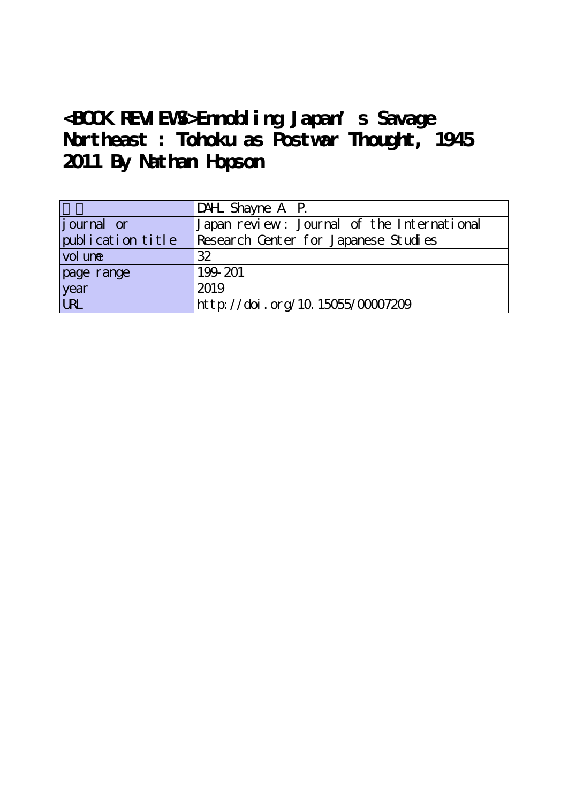# **<BOOK REVIEWS>Ennobling Japan's Savage Northeast : Tohoku as Postwar Thought, 1945 2011 By Nathan Hopson**

|                   | DAHL Shayne A P.                           |
|-------------------|--------------------------------------------|
| journal or        | Japan review: Journal of the International |
| publication title | Research Center for Japanese Studies       |
| vol une           | 32                                         |
| page range        | 199-201                                    |
| year              | 2019                                       |
| URL               | http://doi.org/10.15055/00007209           |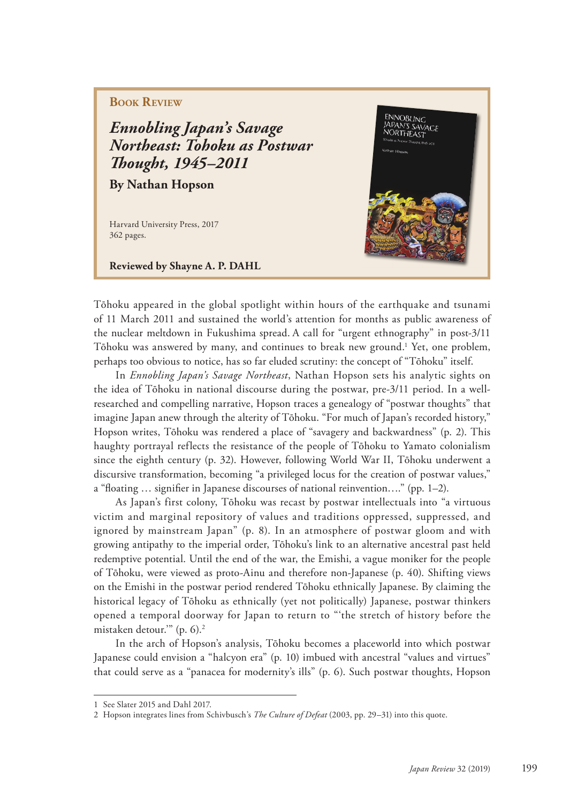# **BOOK REVIEW**

*Ennobling Japan's Savage Northeast: Tohoku as Postwar Th ought, 1945–2011*

**By Nathan Hopson**

Harvard University Press, 2017 362 pages.

**Reviewed by Shayne A. P. DAHL** 



Tōhoku appeared in the global spotlight within hours of the earthquake and tsunami of 11 March 2011 and sustained the world's attention for months as public awareness of the nuclear meltdown in Fukushima spread. A call for "urgent ethnography" in post-3/11 Tōhoku was answered by many, and continues to break new ground.1 Yet, one problem, perhaps too obvious to notice, has so far eluded scrutiny: the concept of "Tōhoku" itself.

In *Ennobling Japan's Savage Northeast*, Nathan Hopson sets his analytic sights on the idea of Tōhoku in national discourse during the postwar, pre-3/11 period. In a wellresearched and compelling narrative, Hopson traces a genealogy of "postwar thoughts" that imagine Japan anew through the alterity of Tōhoku. "For much of Japan's recorded history," Hopson writes, Tōhoku was rendered a place of "savagery and backwardness" (p. 2). This haughty portrayal reflects the resistance of the people of Tōhoku to Yamato colonialism since the eighth century (p. 32). However, following World War II, Tōhoku underwent a discursive transformation, becoming "a privileged locus for the creation of postwar values," a "floating  $\ldots$  signifier in Japanese discourses of national reinvention...." (pp. 1–2).

As Japan's first colony, Tōhoku was recast by postwar intellectuals into "a virtuous victim and marginal repository of values and traditions oppressed, suppressed, and ignored by mainstream Japan" (p. 8). In an atmosphere of postwar gloom and with growing antipathy to the imperial order, Tōhoku's link to an alternative ancestral past held redemptive potential. Until the end of the war, the Emishi, a vague moniker for the people of Tōhoku, were viewed as proto-Ainu and therefore non-Japanese (p. 40). Shifting views on the Emishi in the postwar period rendered Tōhoku ethnically Japanese. By claiming the historical legacy of Tōhoku as ethnically (yet not politically) Japanese, postwar thinkers opened a temporal doorway for Japan to return to "'the stretch of history before the mistaken detour.'" (p. 6).2

In the arch of Hopson's analysis, Tōhoku becomes a placeworld into which postwar Japanese could envision a "halcyon era" (p. 10) imbued with ancestral "values and virtues" that could serve as a "panacea for modernity's ills" (p. 6). Such postwar thoughts, Hopson

<sup>1</sup> See Slater 2015 and Dahl 2017.

<sup>2</sup> Hopson integrates lines from Schivbusch's *The Culture of Defeat* (2003, pp. 29–31) into this quote.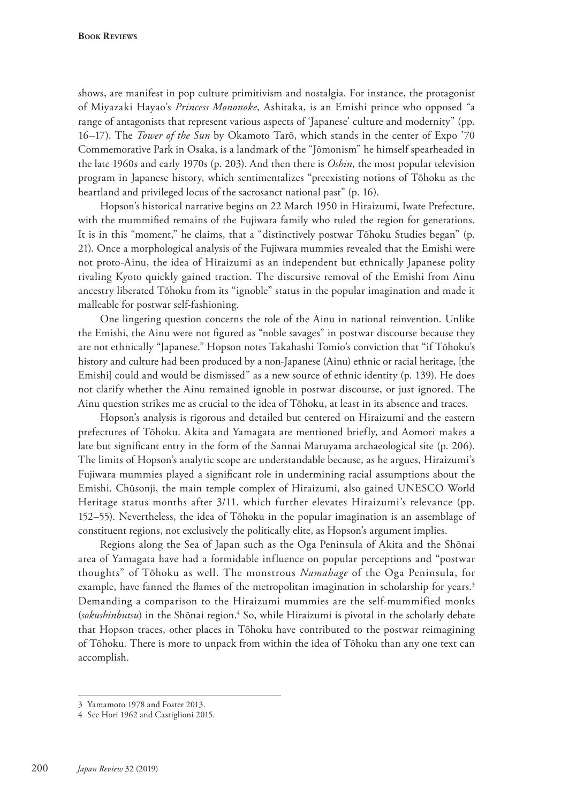shows, are manifest in pop culture primitivism and nostalgia. For instance, the protagonist of Miyazaki Hayao's *Princess Mononoke*, Ashitaka, is an Emishi prince who opposed "a range of antagonists that represent various aspects of 'Japanese' culture and modernity" (pp. 16–17). The *Tower of the Sun* by Okamoto Tarō, which stands in the center of Expo '70 Commemorative Park in Osaka, is a landmark of the "Jōmonism" he himself spearheaded in the late 1960s and early 1970s (p. 203). And then there is *Oshin*, the most popular television program in Japanese history, which sentimentalizes "preexisting notions of Tōhoku as the heartland and privileged locus of the sacrosanct national past" (p. 16).

Hopson's historical narrative begins on 22 March 1950 in Hiraizumi, Iwate Prefecture, with the mummified remains of the Fujiwara family who ruled the region for generations. It is in this "moment," he claims, that a "distinctively postwar Tōhoku Studies began" (p. 21). Once a morphological analysis of the Fujiwara mummies revealed that the Emishi were not proto-Ainu, the idea of Hiraizumi as an independent but ethnically Japanese polity rivaling Kyoto quickly gained traction. The discursive removal of the Emishi from Ainu ancestry liberated Tōhoku from its "ignoble" status in the popular imagination and made it malleable for postwar self-fashioning.

One lingering question concerns the role of the Ainu in national reinvention. Unlike the Emishi, the Ainu were not figured as "noble savages" in postwar discourse because they are not ethnically "Japanese." Hopson notes Takahashi Tomio's conviction that "if Tōhoku's history and culture had been produced by a non-Japanese (Ainu) ethnic or racial heritage, [the Emishi] could and would be dismissed" as a new source of ethnic identity (p. 139). He does not clarify whether the Ainu remained ignoble in postwar discourse, or just ignored. The Ainu question strikes me as crucial to the idea of Tōhoku, at least in its absence and traces.

Hopson's analysis is rigorous and detailed but centered on Hiraizumi and the eastern prefectures of Tōhoku. Akita and Yamagata are mentioned briefly, and Aomori makes a late but significant entry in the form of the Sannai Maruyama archaeological site (p. 206). The limits of Hopson's analytic scope are understandable because, as he argues, Hiraizumi's Fujiwara mummies played a significant role in undermining racial assumptions about the Emishi. Chūsonji, the main temple complex of Hiraizumi, also gained UNESCO World Heritage status months after 3/11, which further elevates Hiraizumi's relevance (pp. 152–55). Nevertheless, the idea of Tōhoku in the popular imagination is an assemblage of constituent regions, not exclusively the politically elite, as Hopson's argument implies.

Regions along the Sea of Japan such as the Oga Peninsula of Akita and the Shōnai area of Yamagata have had a formidable influence on popular perceptions and "postwar thoughts" of Tōhoku as well. The monstrous *Namahage* of the Oga Peninsula, for example, have fanned the flames of the metropolitan imagination in scholarship for years.<sup>3</sup> Demanding a comparison to the Hiraizumi mummies are the self-mummified monks (*sokushinbutsu*) in the Shōnai region.<sup>4</sup> So, while Hiraizumi is pivotal in the scholarly debate that Hopson traces, other places in Tōhoku have contributed to the postwar reimagining of Tōhoku. There is more to unpack from within the idea of Tōhoku than any one text can accomplish.

<sup>3</sup> Yamamoto 1978 and Foster 2013.

<sup>4</sup> See Hori 1962 and Castiglioni 2015.